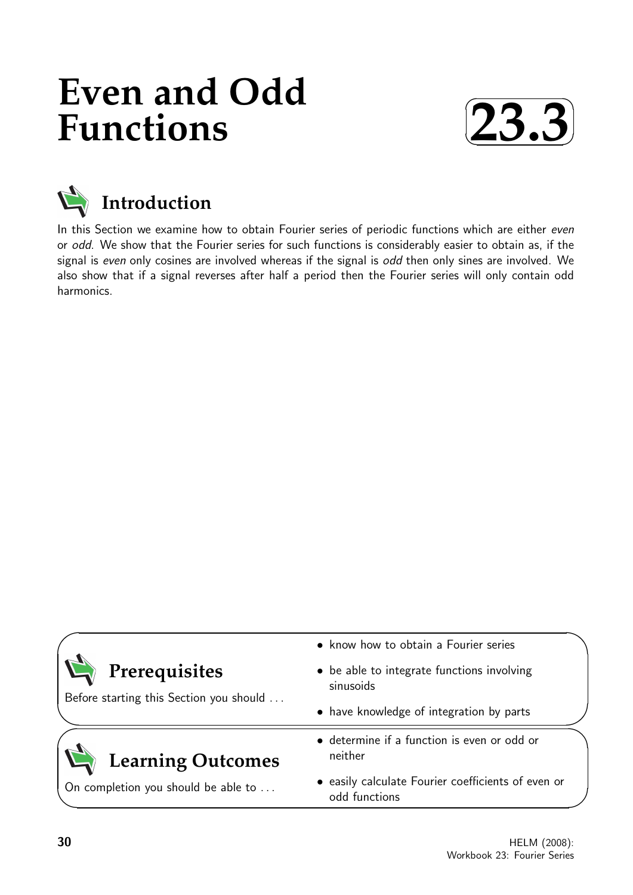# **Even and Odd Functions**





# **Introduction**

In this Section we examine how to obtain Fourier series of periodic functions which are either even or odd. We show that the Fourier series for such functions is considerably easier to obtain as, if the signal is even only cosines are involved whereas if the signal is odd then only sines are involved. We also show that if a signal reverses after half a period then the Fourier series will only contain odd harmonics.

|                                         | • know how to obtain a Fourier series                               |  |
|-----------------------------------------|---------------------------------------------------------------------|--|
| Prerequisites                           | • be able to integrate functions involving<br>sinusoids             |  |
| Before starting this Section you should | • have knowledge of integration by parts                            |  |
| <b>Learning Outcomes</b>                | • determine if a function is even or odd or<br>neither              |  |
| On completion you should be able to     | • easily calculate Fourier coefficients of even or<br>odd functions |  |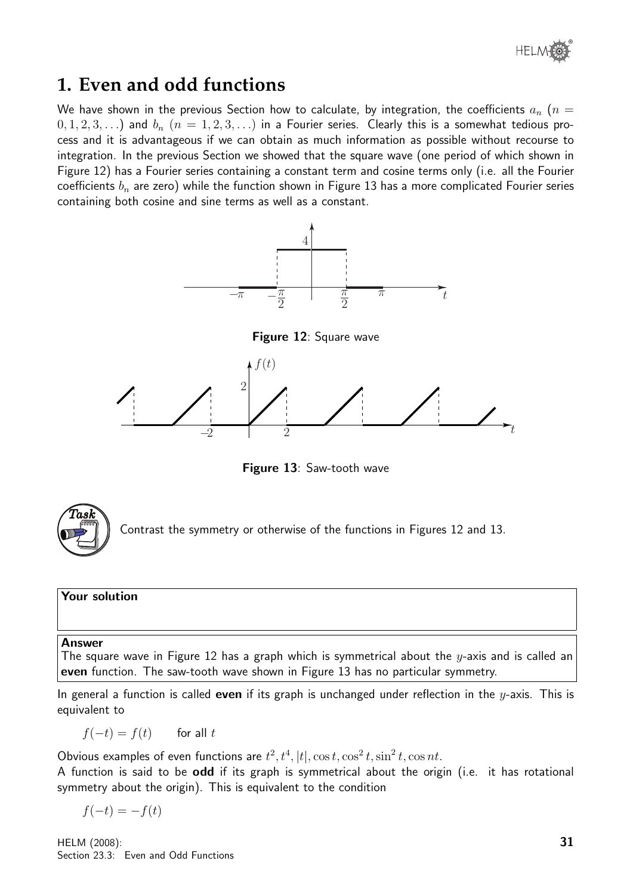

### **1. Even and odd functions**

We have shown in the previous Section how to calculate, by integration, the coefficients  $a_n$  ( $n =$  $(0, 1, 2, 3, \ldots)$  and  $b_n$   $(n = 1, 2, 3, \ldots)$  in a Fourier series. Clearly this is a somewhat tedious process and it is advantageous if we can obtain as much information as possible without recourse to integration. In the previous Section we showed that the square wave (one period of which shown in Figure 12) has a Fourier series containing a constant term and cosine terms only (i.e. all the Fourier coefficients  $b_n$  are zero) while the function shown in Figure 13 has a more complicated Fourier series containing both cosine and sine terms as well as a constant.



Figure 13: Saw-tooth wave



Contrast the symmetry or otherwise of the functions in Figures 12 and 13.

#### Your solution

#### Answer

The square wave in Figure 12 has a graph which is symmetrical about the  $y$ -axis and is called an even function. The saw-tooth wave shown in Figure 13 has no particular symmetry.

In general a function is called **even** if its graph is unchanged under reflection in the  $y$ -axis. This is equivalent to

 $f(-t) = f(t)$  for all t

Obvious examples of even functions are  $t^2$ ,  $t^4$ ,  $|t|$ ,  $\cos t$ ,  $\cos^2 t$ ,  $\sin^2 t$ ,  $\cos nt$ .

A function is said to be odd if its graph is symmetrical about the origin (i.e. it has rotational symmetry about the origin). This is equivalent to the condition

 $f(-t) = -f(t)$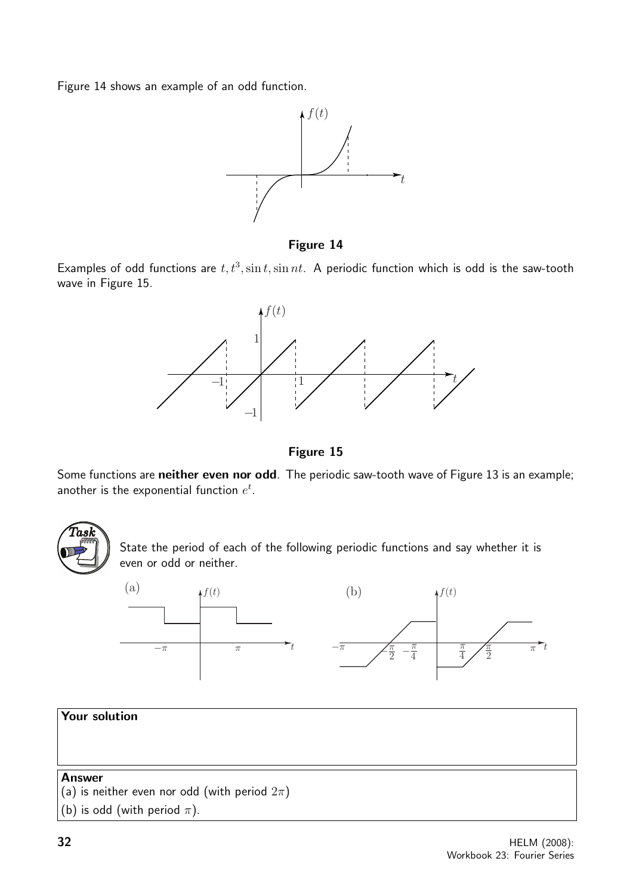Figure 14 shows an example of an odd function.



Figure 14

Examples of odd functions are  $t, t^3$ ,  $\sin t$ ,  $\sin nt$ . A periodic function which is odd is the saw-tooth wave in Figure 15.



Figure 15

Some functions are neither even nor odd. The periodic saw-tooth wave of Figure 13 is an example; another is the exponential function  $e^t$ .



State the period of each of the following periodic functions and say whether it is even or odd or neither.

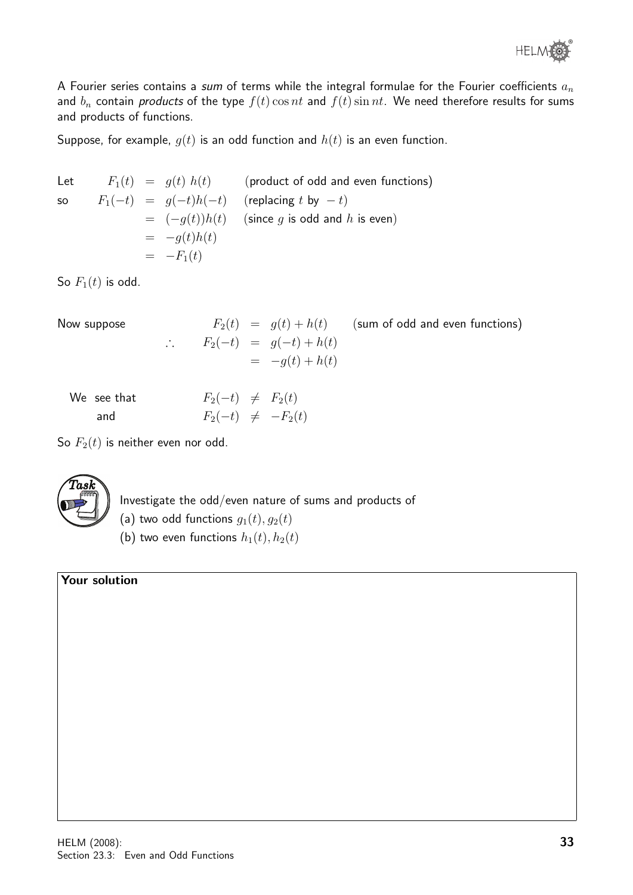

A Fourier series contains a sum of terms while the integral formulae for the Fourier coefficients  $a_n$ and  $b_n$  contain products of the type  $f(t)$  cos nt and  $f(t)$  sin nt. We need therefore results for sums and products of functions.

Suppose, for example,  $g(t)$  is an odd function and  $h(t)$  is an even function.

Let  $F_1(t) = g(t) h(t)$  (product of odd and even functions) so  $F_1(-t) = g(-t)h(-t)$  (replacing t by  $-t$ )  $= (-q(t))h(t)$  (since g is odd and h is even)  $= -g(t)h(t)$  $= -F_1(t)$ 

So  $F_1(t)$  is odd.

Now suppose  
\n
$$
F_2(t) = g(t) + h(t)
$$
 (sum of odd and even functions)  
\n
$$
\therefore F_2(-t) = g(-t) + h(t)
$$
\n
$$
= -g(t) + h(t)
$$

| We see that | $F_2(-t) \neq F_2(t)$  |  |
|-------------|------------------------|--|
| and         | $F_2(-t) \neq -F_2(t)$ |  |

So  $F_2(t)$  is neither even nor odd.



Investigate the odd/even nature of sums and products of

(a) two odd functions  $g_1(t), g_2(t)$ 

(b) two even functions  $h_1(t)$ ,  $h_2(t)$ 

#### Your solution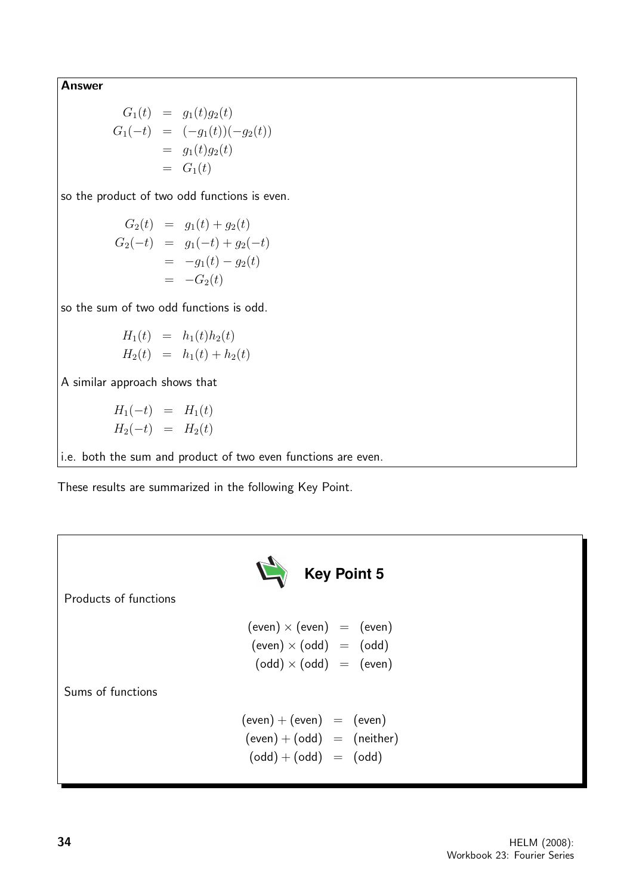Answer

$$
G_1(t) = g_1(t)g_2(t)
$$
  
\n
$$
G_1(-t) = (-g_1(t))(-g_2(t))
$$
  
\n
$$
= g_1(t)g_2(t)
$$
  
\n
$$
= G_1(t)
$$

so the product of two odd functions is even.

$$
G_2(t) = g_1(t) + g_2(t)
$$
  
\n
$$
G_2(-t) = g_1(-t) + g_2(-t)
$$
  
\n
$$
= -g_1(t) - g_2(t)
$$
  
\n
$$
= -G_2(t)
$$

so the sum of two odd functions is odd.

$$
H_1(t) = h_1(t)h_2(t)
$$
  

$$
H_2(t) = h_1(t) + h_2(t)
$$

A similar approach shows that

$$
H_1(-t) = H_1(t)
$$
  

$$
H_2(-t) = H_2(t)
$$

i.e. both the sum and product of two even functions are even.

These results are summarized in the following Key Point.

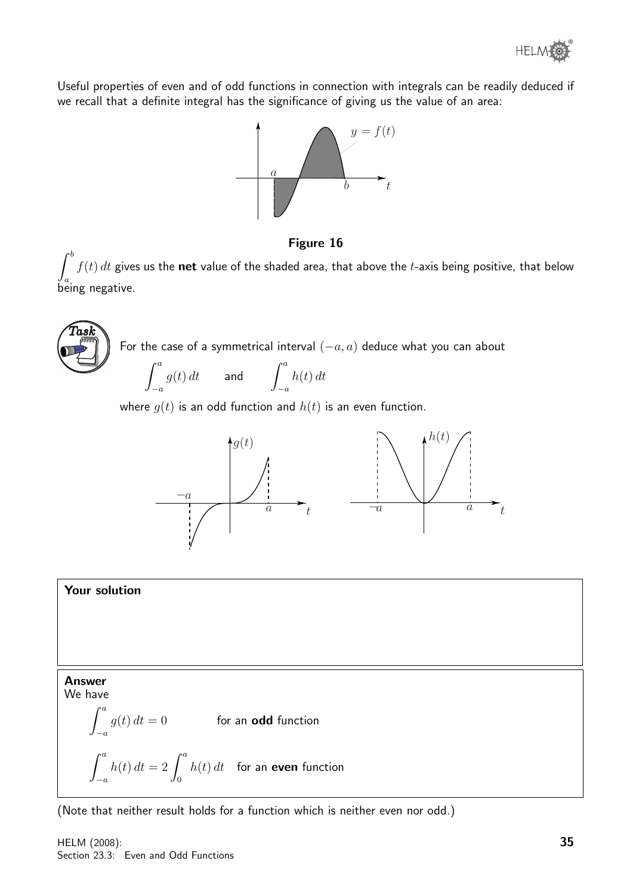

Useful properties of even and of odd functions in connection with integrals can be readily deduced if we recall that a definite integral has the significance of giving us the value of an area:



Figure 16

 $\int^b$  $J_a$ being negative.  $f(t) dt$  gives us the net value of the shaded area, that above the t-axis being positive, that below

 $\widehat{T}$ as $\widehat{k}$ For the case of a symmetrical interval  $(-a, a)$  deduce what you can about  $\int_a^a$  $-a$  $g(t) dt$  and  $\int^a$  $-a$  $h(t) dt$ 

where  $g(t)$  is an odd function and  $h(t)$  is an even function.



#### Your solution

Answer We have

$$
\int_{-a}^{a} g(t) dt = 0
$$
 for an **odd** function  

$$
\int_{-a}^{a} h(t) dt = 2 \int_{0}^{a} h(t) dt
$$
 for an **even** function

(Note that neither result holds for a function which is neither even nor odd.)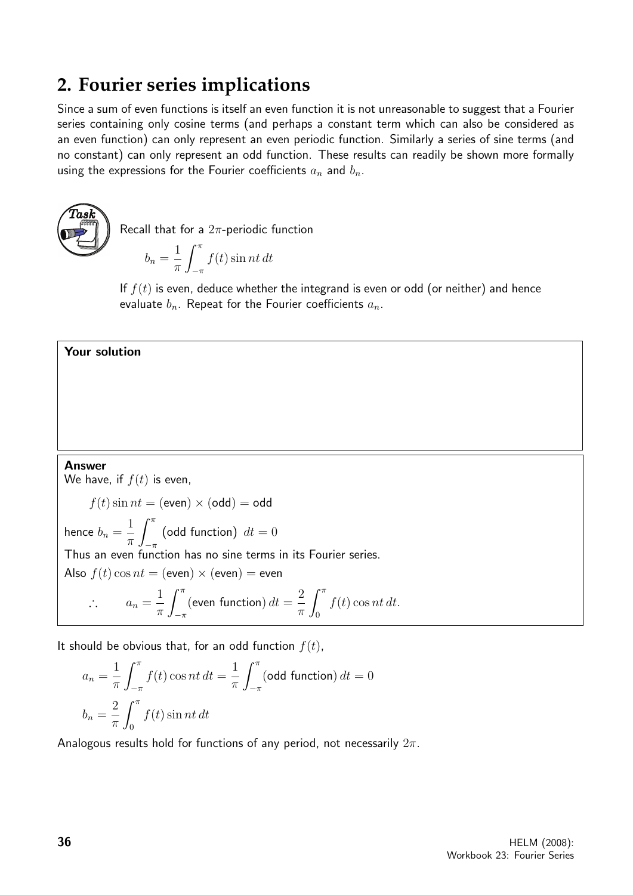## **2. Fourier series implications**

Since a sum of even functions is itself an even function it is not unreasonable to suggest that a Fourier series containing only cosine terms (and perhaps a constant term which can also be considered as an even function) can only represent an even periodic function. Similarly a series of sine terms (and no constant) can only represent an odd function. These results can readily be shown more formally using the expressions for the Fourier coefficients  $a_n$  and  $b_n$ .



Recall that for a  $2\pi$ -periodic function

 $b_n =$ 1  $\pi$  $\int_0^\pi$  $-\pi$  $f(t)$  sin nt dt

If  $f(t)$  is even, deduce whether the integrand is even or odd (or neither) and hence evaluate  $b_n$ . Repeat for the Fourier coefficients  $a_n$ .

#### Your solution

#### Answer

We have, if  $f(t)$  is even,  $f(t)$  sin  $nt = (even) \times (odd) = odd$ hence  $b_n =$ 1  $\pi$  $\int_0^\pi$  $-\pi$ (odd function)  $dt = 0$ Thus an even function has no sine terms in its Fourier series. Also  $f(t) \cos nt = ($ even $) \times ($ even $) =$ even  $\therefore a_n = \frac{1}{-}$  $\pi$  $\int_0^\pi$  $-\pi$ (even function)  $dt =$ 2  $\pi$  $\int_0^\pi$ 0  $f(t)$  cos nt dt.

It should be obvious that, for an odd function  $f(t)$ ,

$$
a_n = \frac{1}{\pi} \int_{-\pi}^{\pi} f(t) \cos nt \, dt = \frac{1}{\pi} \int_{-\pi}^{\pi} (\text{odd function}) \, dt = 0
$$

$$
b_n = \frac{2}{\pi} \int_0^{\pi} f(t) \sin nt \, dt
$$

Analogous results hold for functions of any period, not necessarily  $2\pi$ .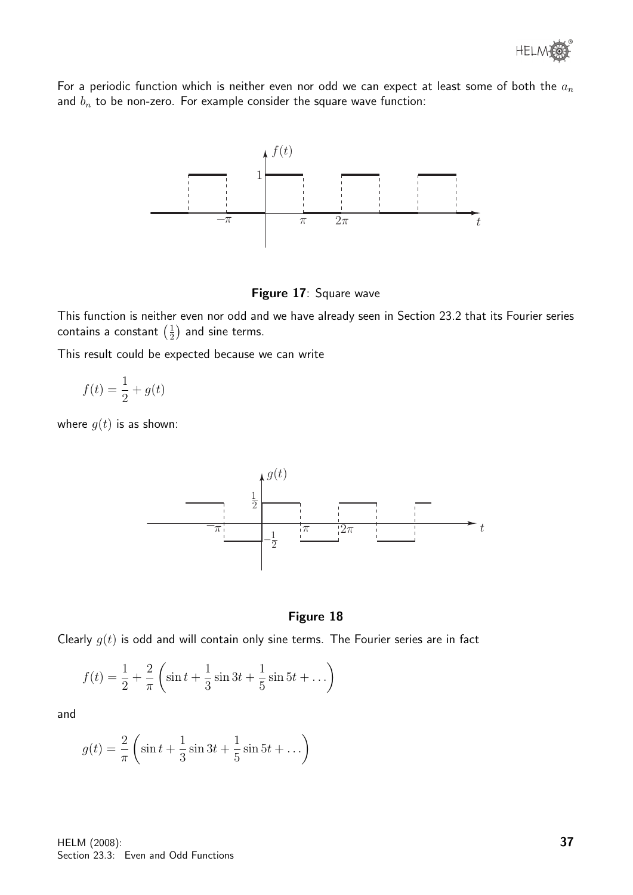For a periodic function which is neither even nor odd we can expect at least some of both the  $a_n$ and  $b_n$  to be non-zero. For example consider the square wave function:



Figure 17: Square wave

This function is neither even nor odd and we have already seen in Section 23.2 that its Fourier series contains a constant  $\left(\frac{1}{2}\right)$  $\frac{1}{2}$ ) and sine terms.

This result could be expected because we can write

$$
f(t) = \frac{1}{2} + g(t)
$$

where  $q(t)$  is as shown:



#### Figure 18

Clearly  $g(t)$  is odd and will contain only sine terms. The Fourier series are in fact

$$
f(t) = \frac{1}{2} + \frac{2}{\pi} \left( \sin t + \frac{1}{3} \sin 3t + \frac{1}{5} \sin 5t + \dots \right)
$$

and

$$
g(t) = \frac{2}{\pi} \left( \sin t + \frac{1}{3} \sin 3t + \frac{1}{5} \sin 5t + \dots \right)
$$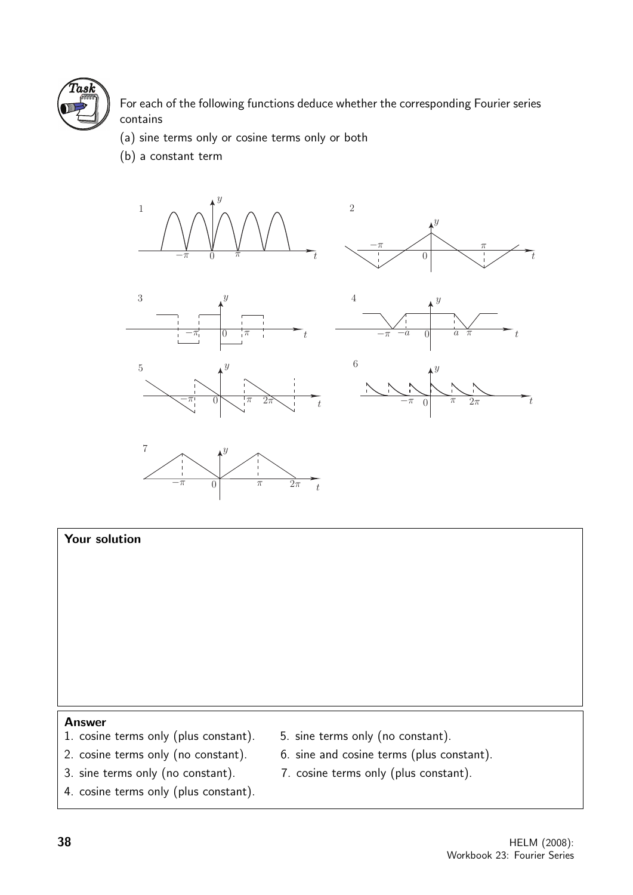

For each of the following functions deduce whether the corresponding Fourier series contains

2

- (a) sine terms only or cosine terms only or both
- (b) a constant term









 $\hat{y}$ 





# Your solution Answer 1. cosine terms only (plus constant). 5. sine terms only (no constant). 2. cosine terms only (no constant). 6. sine and cosine terms (plus constant).

- 3. sine terms only (no constant). 7. cosine terms only (plus constant).
- -
- 4. cosine terms only (plus constant).